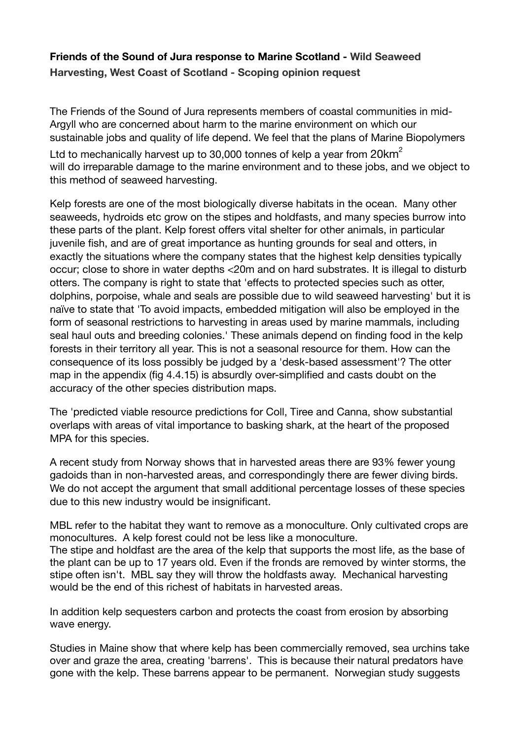# **Friends of the Sound of Jura response to Marine Scotland - Wild Seaweed Harvesting, West Coast of Scotland - Scoping opinion request**

The Friends of the Sound of Jura represents members of coastal communities in mid-Argyll who are concerned about harm to the marine environment on which our sustainable jobs and quality of life depend. We feel that the plans of Marine Biopolymers Ltd to mechanically harvest up to 30,000 tonnes of kelp a vear from  $20 \text{km}^2$ will do irreparable damage to the marine environment and to these jobs, and we object to this method of seaweed harvesting.

Kelp forests are one of the most biologically diverse habitats in the ocean. Many other seaweeds, hydroids etc grow on the stipes and holdfasts, and many species burrow into these parts of the plant. Kelp forest offers vital shelter for other animals, in particular juvenile fish, and are of great importance as hunting grounds for seal and otters, in exactly the situations where the company states that the highest kelp densities typically occur; close to shore in water depths <20m and on hard substrates. It is illegal to disturb otters. The company is right to state that 'effects to protected species such as otter, dolphins, porpoise, whale and seals are possible due to wild seaweed harvesting' but it is naïve to state that 'To avoid impacts, embedded mitigation will also be employed in the form of seasonal restrictions to harvesting in areas used by marine mammals, including seal haul outs and breeding colonies.' These animals depend on finding food in the kelp forests in their territory all year. This is not a seasonal resource for them. How can the consequence of its loss possibly be judged by a 'desk-based assessment'? The otter map in the appendix (fig 4.4.15) is absurdly over-simplified and casts doubt on the accuracy of the other species distribution maps.

The 'predicted viable resource predictions for Coll, Tiree and Canna, show substantial overlaps with areas of vital importance to basking shark, at the heart of the proposed MPA for this species.

A recent study from Norway shows that in harvested areas there are 93% fewer young gadoids than in non-harvested areas, and correspondingly there are fewer diving birds. We do not accept the argument that small additional percentage losses of these species due to this new industry would be insignificant.

MBL refer to the habitat they want to remove as a monoculture. Only cultivated crops are monocultures. A kelp forest could not be less like a monoculture. The stipe and holdfast are the area of the kelp that supports the most life, as the base of the plant can be up to 17 years old. Even if the fronds are removed by winter storms, the stipe often isn't. MBL say they will throw the holdfasts away. Mechanical harvesting would be the end of this richest of habitats in harvested areas.

In addition kelp sequesters carbon and protects the coast from erosion by absorbing wave energy.

Studies in Maine show that where kelp has been commercially removed, sea urchins take over and graze the area, creating 'barrens'. This is because their natural predators have gone with the kelp. These barrens appear to be permanent. Norwegian study suggests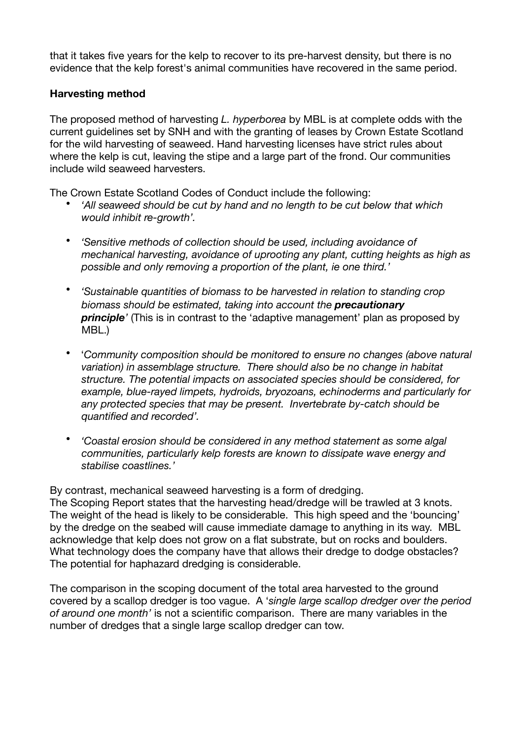that it takes five years for the kelp to recover to its pre-harvest density, but there is no evidence that the kelp forest's animal communities have recovered in the same period.

### **Harvesting method**

The proposed method of harvesting *L. hyperborea* by MBL is at complete odds with the current guidelines set by SNH and with the granting of leases by Crown Estate Scotland for the wild harvesting of seaweed. Hand harvesting licenses have strict rules about where the kelp is cut, leaving the stipe and a large part of the frond. Our communities include wild seaweed harvesters.

The Crown Estate Scotland Codes of Conduct include the following:

- *'All seaweed should be cut by hand and no length to be cut below that which would inhibit re-growth'.*
- *'Sensitive methods of collection should be used, including avoidance of mechanical harvesting, avoidance of uprooting any plant, cutting heights as high as possible and only removing a proportion of the plant, ie one third.'*
- *'Sustainable quantities of biomass to be harvested in relation to standing crop biomass should be estimated, taking into account the precautionary principle*<sup>*'*</sup> (This is in contrast to the 'adaptive management' plan as proposed by MBL.)
- '*Community composition should be monitored to ensure no changes (above natural variation) in assemblage structure. There should also be no change in habitat structure. The potential impacts on associated species should be considered, for example, blue-rayed limpets, hydroids, bryozoans, echinoderms and particularly for any protected species that may be present. Invertebrate by-catch should be quantified and recorded'.*
- *'Coastal erosion should be considered in any method statement as some algal communities, particularly kelp forests are known to dissipate wave energy and stabilise coastlines.'*

By contrast, mechanical seaweed harvesting is a form of dredging.

The Scoping Report states that the harvesting head/dredge will be trawled at 3 knots. The weight of the head is likely to be considerable. This high speed and the 'bouncing' by the dredge on the seabed will cause immediate damage to anything in its way. MBL acknowledge that kelp does not grow on a flat substrate, but on rocks and boulders. What technology does the company have that allows their dredge to dodge obstacles? The potential for haphazard dredging is considerable.

The comparison in the scoping document of the total area harvested to the ground covered by a scallop dredger is too vague. A '*single large scallop dredger over the period of around one month'* is not a scientific comparison. There are many variables in the number of dredges that a single large scallop dredger can tow.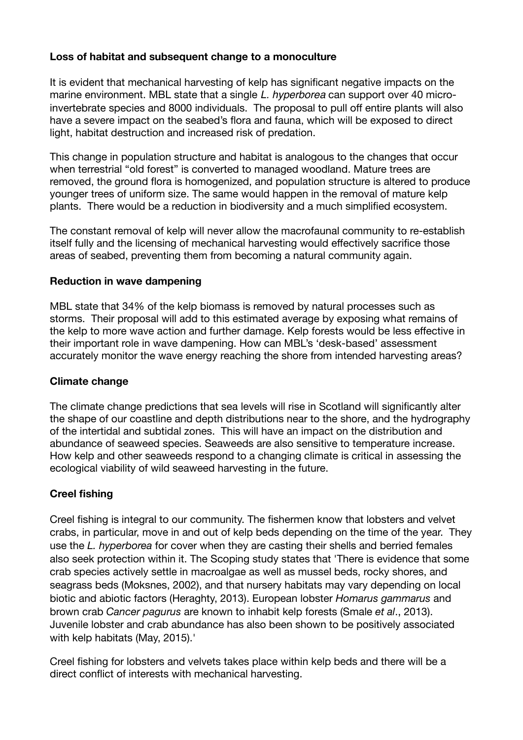# **Loss of habitat and subsequent change to a monoculture**

It is evident that mechanical harvesting of kelp has significant negative impacts on the marine environment. MBL state that a single *L. hyperborea* can support over 40 microinvertebrate species and 8000 individuals. The proposal to pull off entire plants will also have a severe impact on the seabed's flora and fauna, which will be exposed to direct light, habitat destruction and increased risk of predation.

This change in population structure and habitat is analogous to the changes that occur when terrestrial "old forest" is converted to managed woodland. Mature trees are removed, the ground flora is homogenized, and population structure is altered to produce younger trees of uniform size. The same would happen in the removal of mature kelp plants. There would be a reduction in biodiversity and a much simplified ecosystem.

The constant removal of kelp will never allow the macrofaunal community to re-establish itself fully and the licensing of mechanical harvesting would effectively sacrifice those areas of seabed, preventing them from becoming a natural community again.

#### **Reduction in wave dampening**

MBL state that 34% of the kelp biomass is removed by natural processes such as storms. Their proposal will add to this estimated average by exposing what remains of the kelp to more wave action and further damage. Kelp forests would be less effective in their important role in wave dampening. How can MBL's 'desk-based' assessment accurately monitor the wave energy reaching the shore from intended harvesting areas?

#### **Climate change**

The climate change predictions that sea levels will rise in Scotland will significantly alter the shape of our coastline and depth distributions near to the shore, and the hydrography of the intertidal and subtidal zones. This will have an impact on the distribution and abundance of seaweed species. Seaweeds are also sensitive to temperature increase. How kelp and other seaweeds respond to a changing climate is critical in assessing the ecological viability of wild seaweed harvesting in the future.

#### **Creel fishing**

Creel fishing is integral to our community. The fishermen know that lobsters and velvet crabs, in particular, move in and out of kelp beds depending on the time of the year. They use the *L. hyperborea* for cover when they are casting their shells and berried females also seek protection within it. The Scoping study states that 'There is evidence that some crab species actively settle in macroalgae as well as mussel beds, rocky shores, and seagrass beds (Moksnes, 2002), and that nursery habitats may vary depending on local biotic and abiotic factors (Heraghty, 2013). European lobster *Homarus gammarus* and brown crab *Cancer pagurus* are known to inhabit kelp forests (Smale *et al*., 2013). Juvenile lobster and crab abundance has also been shown to be positively associated with kelp habitats (May, 2015).'

Creel fishing for lobsters and velvets takes place within kelp beds and there will be a direct conflict of interests with mechanical harvesting.